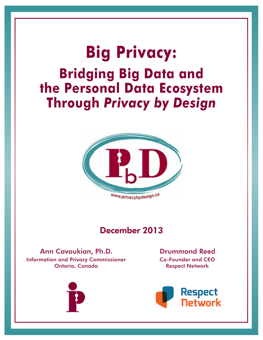# **Big Privacy: Bridging Big Data and the Personal Data Ecosystem Through** *Privacy by Design*



## December 2013

Information and Privacy Commissioner Ontario, Canada Ann Cavoukian, Ph.D.



Co-Founder and CEO Respect Network Drummond Reed

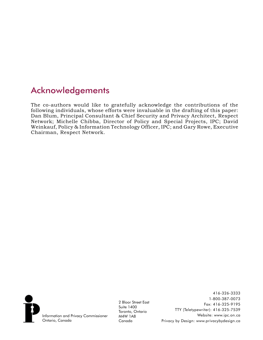# Acknowledgements

The co-authors would like to gratefully acknowledge the contributions of the following individuals, whose efforts were invaluable in the drafting of this paper: Dan Blum, Principal Consultant & Chief Security and Privacy Architect, Respect Network; Michelle Chibba, Director of Policy and Special Projects, IPC; David Weinkauf, Policy & Information Technology Officer, IPC; and Gary Rowe, Executive Chairman, Respect Network.



2 Bloor Street East Suite 1400 Toronto, Ontario M4W 1A8 Canada

416-326-3333 1-800-387-0073 Fax: 416-325-9195 TTY (Teletypewriter): 416-325-7539 Website: www.ipc.on.ca Privacy by Design: www.privacybydesign.ca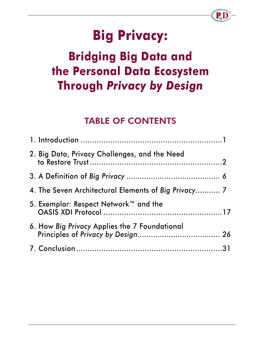# **Big Privacy:**

# **Bridging Big Data and the Personal Data Ecosystem Through** *Privacy by Design*

# TABLE OF CONTENTS

| 2. Big Data, Privacy Challenges, and the Need        |  |
|------------------------------------------------------|--|
|                                                      |  |
| 4. The Seven Architectural Elements of Big Privacy 7 |  |
| 5. Exemplar: Respect Network™ and the                |  |
| 6. How Big Privacy Applies the 7 Foundational        |  |
|                                                      |  |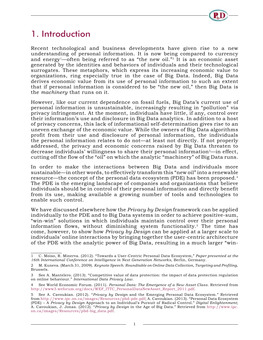

# <span id="page-3-0"></span>1. Introduction

Recent technological and business developments have given rise to a new understanding of personal information. It is now being compared to currency and energy<sup>1</sup>—often being referred to as "the new oil."<sup>2</sup> It is an economic asset generated by the identities and behaviors of individuals and their technological surrogates. These metaphors, which express its increasing economic value to organizations, ring especially true in the case of Big Data. Indeed, Big Data derives economic value from its use of personal information to such an extent that if personal information is considered to be "the new oil," then Big Data is the *machinery* that runs on it.

However, like our current dependence on fossil fuels, Big Data's current use of personal information is unsustainable, increasingly resulting in "pollution" via privacy infringement. At the moment, individuals have little, if any, control over their information's use and disclosure in Big Data analytics. In addition to a host of privacy concerns, this lack of informational self-determination gives rise to an uneven exchange of the economic value. While the owners of Big Data algorithms profit from their use and disclosure of personal information, the individuals the personal information relates to do not—at least not directly. If not properly addressed, the privacy and economic concerns raised by Big Data threaten to decrease individuals' willingness to share their personal information3—in effect, cutting off the flow of the "oil" on which the analytic "machinery" of Big Data runs.

In order to make the interactions between Big Data and individuals more sustainable—in other words, to effectively transform this "new oil" into a renewable resource—the concept of the personal data ecosystem (PDE) has been proposed.4 The PDE is the emerging landscape of companies and organizations that believe individuals should be in control of their personal information and directly benefit from its use, making available a growing number of tools and technologies to enable such control.

We have discussed elsewhere how the *Privacy by Design* framework can be applied individually to the PDE and to Big Data systems in order to achieve positive-sum, "win-win" solutions in which individuals maintain control over their personal information flows, without diminishing system functionality.5 The time has come, however, to show how *Privacy by Design* can be applied at a larger scale to individuals' online interactions by bringing together the user-centric architecture of the PDE with the analytic power of Big Data, resulting in a much larger "win-

<sup>1</sup> C. Moiso, R. Minerva. (2012). "Towards a User-Centric Personal Data Ecosystem," *Paper presented at the 16th International Conference on Intelligence in Next Generation Networks,* Berlin, Germany.

<sup>2</sup> M. Kuneva. (March 31, 2009). *Keynote Speech: Roundtable on Online Data Collection, Targeting and Profiling*, Brussels.

<sup>3</sup> See A. Mantelero. (2013). "Competitive value of data protection: the impact of data protection regulation on online behaviour." *International Data Privacy Law*.

<sup>4</sup> See World Economic Forum. (2011). *Personal Data: The Emergence of a New Asset Class*. Retrieved from [http://www3.weforum.org/docs/WEF\\_ITTC\\_PersonalDataNewAsset\\_Report\\_2011.pdf](http://www3.weforum.org/docs/WEF_ITTC_PersonalDataNewAsset_Report_2011.pdf).

<sup>5</sup> See A. Cavoukian. (2012). "*Privacy by Design* and the Emerging Personal Data Ecosystem." Retrieved from<http://www.ipc.on.ca/images/Resources/pbd-pde.pdf>; A. Cavoukian. (2013). "Personal Data Ecosystem (PDE) – A *Privacy by Design* Approach to an Individual's Pursuit of Radical Control." *Digital Enlightenment*; A. Cavoukian, J. Jonas. (2012). "*Privacy by Design* in the Age of Big Data." Retrieved from [http://www.ipc.](http://www.ipc.on.ca/images/Resources/pbd-big_data.pdf) [on.ca/images/Resources/pbd-big\\_data.pdf.](http://www.ipc.on.ca/images/Resources/pbd-big_data.pdf)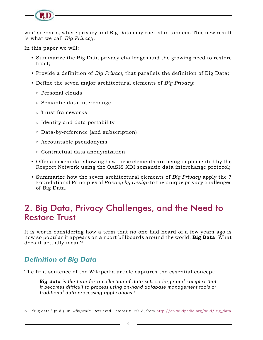<span id="page-4-0"></span>

win" scenario, where privacy and Big Data may coexist in tandem. This new result is what we call *Big Privacy*.

In this paper we will:

- Summarize the Big Data privacy challenges and the growing need to restore trust;
- Provide a definition of *Big Privacy* that parallels the definition of Big Data;
- Define the seven major architectural elements of *Big Privacy*:
	- { Personal clouds
	- $\circ$  Semantic data interchange
	- $\circ$  Trust frameworks
	- $\circ$  Identity and data portability
	- $\circ$  Data-by-reference (and subscription)
	- $\circ$  Accountable pseudonyms
	- $\circ$  Contractual data anonymization
- Offer an exemplar showing how these elements are being implemented by the Respect Network using the OASIS XDI semantic data interchange protocol;
- Summarize how the seven architectural elements of *Big Privacy* apply the 7 Foundational Principles of *Privacy by Design* to the unique privacy challenges of Big Data.

# 2. Big Data, Privacy Challenges, and the Need to Restore Trust

It is worth considering how a term that no one had heard of a few years ago is now so popular it appears on airport billboards around the world: **Big Data**. What does it actually mean?

#### *Definition of Big Data*

The first sentence of the Wikipedia article captures the essential concept:

*Big data is the term for a collection of data sets so large and complex that it becomes difficult to process using on-hand database management tools or traditional data processing applications.6*

<sup>6</sup> "Big data." (n.d.). In *Wikipedia*. Retrieved October 8, 2013, from [http://en.wikipedia.org/wiki/Big\\_data](http://en.wikipedia.org/wiki/Big_data)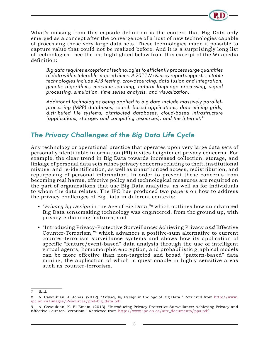

What's missing from this capsule definition is the context that Big Data only emerged as a concept after the convergence of a host of new technologies capable of processing these very large data sets. These technologies made it possible to capture value that could not be realized before. And it is a surprisingly long list of technologies—see the list highlighted below from this excerpt of the Wikipedia definition:

*Big data requires exceptional technologies to efficiently process large quantities of data within tolerable elapsed times. A 2011 [McKinsey](http://en.wikipedia.org/wiki/McKinsey_%26_Company) report suggests suitable technologies include A/B testing, crowdsourcing, data fusion and integration, genetic algorithms, machine learning, natural language processing, signal processing, simulation, time series analysis, and visualization.* 

*Additional technologies being applied to big data include massively parallelprocessing (MPP) databases, search-based applications, data-mining grids, distributed file systems, distributed databases, cloud-based infrastructure (applications, storage, and computing resources), and the Internet.7*

#### *The Privacy Challenges of the Big Data Life Cycle*

Any technology or operational practice that operates upon very large data sets of personally identifiable information (PII) invites heightened privacy concerns. For example, the clear trend in Big Data towards increased collection, storage, and linkage of personal data sets raises privacy concerns relating to theft, institutional misuse, and re-identification, as well as unauthorized access, redistribution, and repurposing of personal information. In order to prevent these concerns from becoming real harms, effective policy and technological measures are required on the part of organizations that use Big Data analytics, as well as for individuals to whom the data relates. The IPC has produced two papers on how to address the privacy challenges of Big Data in different contexts:

- "*Privacy by Design* in the Age of Big Data,"8 which outlines how an advanced Big Data sensemaking technology was engineered, from the ground up, with privacy-enhancing features; and
- "Introducing Privacy-Protective Surveillance: Achieving Privacy *and* Effective Counter-Terrorism,"9 which advances a positive-sum alternative to current counter-terrorism surveillance systems and shows how its application of specific "feature/event-based" data analysis through the use of intelligent virtual agents, homomorphic encryption, and probabilistic graphical models can be more effective than non-targeted and broad "pattern-based" data mining, the application of which is questionable in highly sensitive areas such as counter-terrorism.

<sup>7</sup> Ibid.

<sup>8</sup> A. Cavoukian, J. Jonas, (2012). "*Privacy by Design* in the Age of Big Data." Retrieved from [http://www.](http://www.ipc.on.ca/images/Resources/pbd-big_data.pdf) [ipc.on.ca/images/Resources/pbd-big\\_data.pdf.](http://www.ipc.on.ca/images/Resources/pbd-big_data.pdf)

<sup>9</sup> A. Cavoukian, K. El Emam. (2013). "Introducing Privacy-Protective Surveillance: Achieving Privacy and Effective Counter-Terrorism." Retrieved from [http://www.ipc.on.ca/site\\_documents/pps.pdf.](http://www.ipc.on.ca/site_documents/pps.pdf)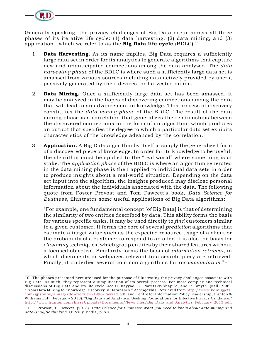Generally speaking, the privacy challenges of Big Data occur across all three phases of its iterative life cycle: (1) data harvesting, (2) data mining, and (3) application—which we refer to as the **Big Data life cycle** (BDLC).10

- 1. **Data Harvesting.** As its name implies, Big Data requires a sufficiently large data set in order for its analytics to generate algorithms that capture new and unanticipated connections among the data analyzed. The *data harvesting phase* of the BDLC is where such a sufficiently large data set is amassed from various sources including data actively provided by users, passively generated by their devices, or harvested online.
- 2. **Data Mining.** Once a sufficiently large data set has been amassed, it may be analyzed in the hopes of discovering connections among the data that will lead to an advancement in knowledge. This process of discovery constitutes the *data mining phase* of the BDLC. The result of the data mining phase is a correlation that generalizes the relationships between the discovered connections in the form of an algorithm, which produces an output that specifies the degree to which a particular data set exhibits characteristics of the knowledge advanced by the correlation.
- 3. **Application.** A Big Data algorithm by itself is simply the generalized form of a discovered piece of knowledge. In order for its knowledge to be useful, the algorithm must be applied to the "real world" where something is at stake. The *application phase* of the BDLC is where an algorithm generated in the data mining phase is then applied to individual data sets in order to produce insights about a real-world situation. Depending on the data set input into the algorithm, the insights produced may disclose personal information about the individuals associated with the data. The following quote from Foster Provost and Tom Fawcett's book, *Data Science for Business*, illustrates some useful applications of Big Data algorithms:

"For example, one fundamental concept [of Big Data] is that of determining the similarity of two entities described by data. This ability forms the basis for various specific tasks. It may be used directly to *find* customers similar to a given customer. It forms the core of several *prediction* algorithms that estimate a target value such as the expected resource usage of a client or the probability of a customer to respond to an offer. It is also the basis for *clustering* techniques, which group entities by their shared features without a focused objective. Similarity forms the basis of *information retrieval*, in which documents or webpages relevant to a search query are retrieved. Finally, it underlies several common algorithms for *recommendation*."11

<sup>10</sup> The phases presented here are used for the purpose of illustrating the privacy challenges associate with Big Data. As such, they represent a simplification of its overall process. For more complex and technical discussions of Big Data and its life cycle, see U. Fayyad, G. Piatetsky-Shapiro, and P. Smyth. (Fall 1996). "From Data Mining to Knowledge Discovery in Databases." *AI Magazine*. Retrieved from [http://www.kdnuggets.](http://www.kdnuggets.com/gpspubs/aimag-kdd-overview-1996-Fayyad.pdf) [com/gpspubs/aimag-kdd-overview-1996-Fayyad.pdf](http://www.kdnuggets.com/gpspubs/aimag-kdd-overview-1996-Fayyad.pdf); and Centre for Information Policy Leadership, Hunton & Williams LLP. (February 2013). "Big Data and Analytics: Seeking Foundations for Effective Privacy Guidance." [http://www.hunton.com/files/Uploads/Documents/News\\_files/Big\\_Data\\_and\\_Analytics\\_February\\_2013.pdf](http://www.hunton.com/files/Uploads/Documents/News_files/Big_Data_and_Analytics_February_2013.pdf).

<sup>11</sup> F. Provost, T. Fawcett. (2013). *Data Science for Business: What you need to know about data mining and data-analytic thinking*. O'Reilly Media, p. xii.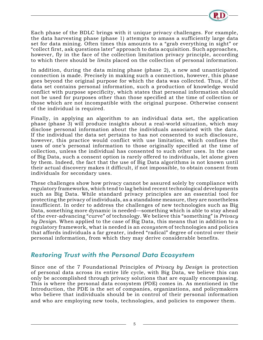

Each phase of the BDLC brings with it unique privacy challenges. For example, the data harvesting phase (phase 1) attempts to amass a sufficiently large data set for data mining. Often times this amounts to a "grab everything in sight" or "collect first, ask questions later" approach to data acquisition. Such approaches, however, fly in the face of the collection limitation privacy principle, according to which there should be *limits* placed on the collection of personal information.

In addition, during the data mining phase (phase 2), a new and unanticipated connection is made. Precisely in making such a connection, however, this phase goes beyond the original purpose for which the data was collected. Thus, if the data set contains personal information, such a production of knowledge would conflict with purpose specificity, which states that personal information should not be used for purposes other than those specified at the time of collection or those which are not incompatible with the original purpose. Otherwise consent of the individual is required.

Finally, in applying an algorithm to an individual data set, the application phase (phase 3) will produce insights about a real-world situation, which may disclose personal information about the individuals associated with the data. If the individual the data set pertains to has not consented to such disclosure, however, this practice would conflict with use limitation, which confines the uses of one's personal information to those originally specified at the time of collection, unless the individual has consented to such other uses. In the case of Big Data, such a consent option is rarely offered to individuals, let alone given by them. Indeed, the fact that the use of Big Data algorithms is not known until their actual discovery makes it difficult, if not impossible, to obtain consent from individuals for secondary uses.

These challenges show how privacy cannot be assured solely by compliance with regulatory frameworks, which tend to lag behind recent technological developments such as Big Data. While standard privacy principles are an essential tool for protecting the privacy of individuals, as a standalone measure, they are nonetheless insufficient. In order to address the challenges of new technologies such as Big Data, something more dynamic is needed—something which is able to stay ahead of the ever-advancing "curve" of technology. We believe this "something" is *Privacy by Design*. When applied to the case of Big Data, this means that in addition to a regulatory framework, what is needed is an *ecosystem* of technologies and policies that affords individuals a far greater, indeed "radical" degree of control over their personal information, from which they may derive considerable benefits.

#### *Restoring Trust with the Personal Data Ecosystem*

Since one of the 7 Foundational Principles of *Privacy by Design* is protection of personal data across its entire life cycle, with Big Data, we believe this can only be accomplished through privacy solutions that are equally encompassing. This is where the personal data ecosystem (PDE) comes in. As mentioned in the Introduction, the PDE is the set of companies, organizations, and policymakers who believe that individuals should be in control of their personal information and who are employing new tools, technologies, and policies to empower them.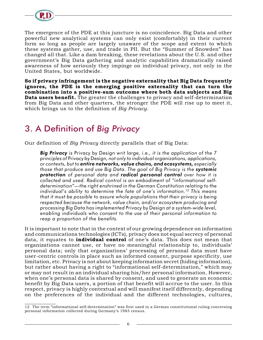<span id="page-8-0"></span>

The emergence of the PDE at this juncture is no coincidence. Big Data and other powerful new analytical systems can only exist (comfortably) in their current form so long as people are largely unaware of the scope and extent to which these systems gather, use, and trade in PII. But the "Summer of Snowden" has changed all that. Like a dam breaking, these revelations about the U.S. and other government's Big Data gathering and analytic capabilities dramatically raised awareness of how seriously they impinge on individual privacy, not only in the United States, but worldwide.

**So if privacy infringement is the negative externality that Big Data frequently ignores, the PDE is the emerging positive externality that can turn the combination into a positive-sum outcome where both data subjects and Big Data users benefit.** The greater the challenges to privacy and self-determination from Big Data and other quarters, the stronger the PDE will rise up to meet it, which brings us to the definition of *Big Privacy*.

# 3. A Definition of *Big Privacy*

Our definition of *Big Privacy* directly parallels that of Big Data:

*Big Privacy is* Privacy by Design *writ large, i.e., it is the application of the 7 principles of* Privacy by Design*, not only to individual organizations, applications, or contexts, but to entire networks, value chains, and ecosystems, especially those that produce and use Big Data. The goal of Big Privacy is the systemic protection of personal data and radical personal control over how it is collected and used. Radical control is an embodiment of "informational selfdetermination"—the right enshrined in the German Constitution relating to the individual's ability to determine the fate of one's information.12 This means that it must be possible to assure whole populations that their privacy is being respected because the network, value chain, and/or ecosystem producing and processing Big Data has implemented* Privacy by Design *at a system-wide level, enabling individuals who consent to the use of their personal information to reap a proportion of the benefits.* 

It is important to note that in the context of our growing dependence on information and communications technologies (ICTs), privacy does not equal secrecy of personal data, it equates to **individual control** of one's data. This does not mean that organizations cannot use, or have no meaningful relationship to, individuals' personal data; only that organizations' processing of personal data must have user-centric controls in place such as informed consent, purpose specificity, use limitation, etc. Privacy is not about keeping information secret (hiding information), but rather about having a right to "informational self-determination," which may or may not result in an individual sharing his/her personal information. However, when one's personal data is shared by consent, and used to generate an economic benefit by Big Data users, a portion of that benefit will accrue to the user. In this respect, privacy is highly contextual and will manifest itself differently, depending on the preferences of the individual and the different technologies, cultures,

<sup>12</sup> The term "informational self-determination" was first used in a German constitutional ruling concerning personal information collected during Germany's 1983 census.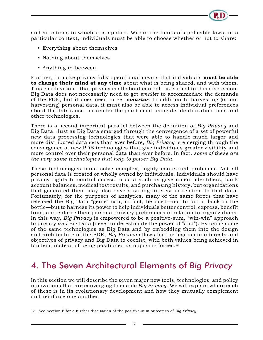<span id="page-9-0"></span>and situations to which it is applied. Within the limits of applicable laws, in a particular context, individuals must be able to choose whether or not to share:

- Everything about themselves
- Nothing about themselves
- Anything in-between.

Further, to make privacy fully operational means that individuals **must be able to change their mind at any time** about what is being shared, and with whom. This clarification—that privacy is all about control—is critical to this discussion: Big Data does not necessarily need to get *smaller* to accommodate the demands of the PDE, but it does need to get *smarter.* In addition to harvesting (or not harvesting) personal data, it must also be able to access individual preferences about the data's use—or render the point moot using de-identification tools and other technologies.

There is a second important parallel between the definition of *Big Privacy* and Big Data. Just as Big Data emerged through the convergence of a set of powerful new data processing technologies that were able to handle much larger and more distributed data sets than ever before, *Big Privacy* is emerging through the convergence of new PDE technologies that give individuals greater visibility and more control over their personal data than ever before. In fact, *some of these are the very same technologies that help to power Big Data*.

These technologies must solve complex, highly contextual problems. Not all personal data is created or wholly owned by individuals. Individuals should have privacy rights to control access to data such as government identifiers, bank account balances, medical test results, and purchasing history, but organizations that generated them may also have a strong interest in relation to that data. Fortunately, for the purposes of analytics, many of the same forces that have released the Big Data "genie" can, in fact, be used—not to put it back in the bottle—but to harness its power to help individuals better control, express, benefit from, and enforce their personal privacy preferences in relation to organizations. In this way, *Big Privacy* is empowered to be a positive-sum, "win-win" approach to privacy *and* Big Data (never underestimate the power of "and"). By using some of the same technologies as Big Data and by embedding them into the design and architecture of the PDE, *Big Privacy* allows for the legitimate interests and objectives of privacy and Big Data to coexist, with both values being achieved in tandem, instead of being positioned as opposing forces.13

# 4. The Seven Architectural Elements of *Big Privacy*

In this section we will describe the seven major new tools, technologies, and policy innovations that are converging to enable *Big Privacy*. We will explain where each of these is in its evolutionary development and how they mutually complement and reinforce one another.

<sup>13</sup> See Section 6 for a further discussion of the positive-sum outcomes of *Big Privacy*.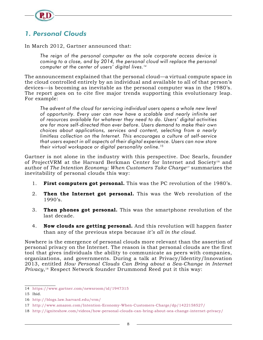

### *1. Personal Clouds*

In March 2012, Gartner announced that:

*The reign of the personal computer as the sole corporate access device is coming to a close, and by 2014, the personal cloud will replace the personal computer at the center of users' digital lives.14*

The announcement explained that the personal cloud—a virtual compute space in the cloud controlled entirely by an individual and available to all of that person's devices—is becoming as inevitable as the personal computer was in the 1980's. The report goes on to cite five major trends supporting this evolutionary leap. For example:

*The advent of the cloud for servicing individual users opens a whole new level of opportunity. Every user can now have a scalable and nearly infinite set of resources available for whatever they need to do. Users' digital activities are far more self-directed than ever before. Users demand to make their own choices about applications, services and content, selecting from a nearly limitless collection on the Internet. This encourages a culture of self-service that users expect in all aspects of their digital experience. Users can now store their virtual workspace or digital personality online.15*

Gartner is not alone in the industry with this perspective. Doc Searls, founder of ProjectVRM at the Harvard Berkman Center for Internet and Society16 and author of *The Intention Economy: When Customers Take Charge*17 summarizes the inevitability of personal clouds this way:

- 1. **First computers got personal.** This was the PC revolution of the 1980's.
- 2. **Then the Internet got personal.** This was the Web revolution of the  $1990's$ .
- 3. **Then phones got personal.** This was the smartphone revolution of the last decade.
- 4. **Now clouds are getting personal.** And this revolution will happen faster than any of the previous steps because *it's all in the cloud*.

Nowhere is the emergence of personal clouds more relevant than the assertion of personal privacy on the Internet. The reason is that personal clouds are the first tool that gives individuals the ability to communicate as peers with companies, organizations, and governments. During a talk at Privacy/Identity/Innovation 2013, entitled *How Personal Clouds Can Bring about a Sea-Change in Internet Privacy*,18 Respect Network founder Drummond Reed put it this way:

<sup>14</sup> <https://www.gartner.com/newsroom/id/1947315>

<sup>15</sup> Ibid.

<sup>16</sup> <http://blogs.law.harvard.edu/vrm/>

<sup>17</sup> <http://www.amazon.com/Intention-Economy-When-Customers-Charge/dp/1422158527/>

<sup>18</sup> <http://igniteshow.com/videos/how-personal-clouds-can-bring-about-sea-change-internet-privacy/>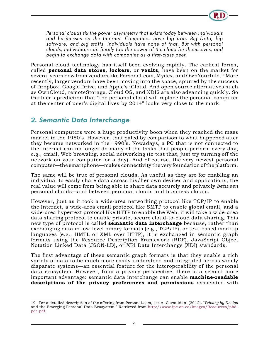*Personal clouds fix the power asymmetry that exists today between individuals and businesses on the Internet. Companies have big iron, Big Data, big*  software, and big staffs. Individuals have none of that. But with personal *clouds, individuals can finally tap the power of the cloud for themselves, and begin to exchange data with companies as a first-class peer.*

Personal cloud technology has itself been evolving rapidly. The earliest forms, called **personal data stores**, **lockers**, or **vaults**, have been on the market for several years now from vendors like Personal.com, Mydex, and OwnYourInfo.19 More recently, larger vendors have been moving into the space, spurred by the success of Dropbox, Google Drive, and Apple's iCloud. And open source alternatives such as OwnCloud, remoteStorage, Cloud OS, and XDI2 are also advancing quickly. So Gartner's prediction that "the personal cloud will replace the personal computer at the center of user's digital lives by 2014" looks very close to the mark.

#### *2. Semantic Data Interchange*

Personal computers were a huge productivity boon when they reached the mass market in the 1980's. However, that paled by comparison to what happened after they became networked in the 1990's. Nowadays, a PC that is not connected to the Internet can no longer do many of the tasks that people perform every day, e.g., email, Web browsing, social networking (to test that, just try turning off the network on your computer for a day). And of course, the very newest personal computer—the smartphone—makes connectivity the very foundation of the platform.

The same will be true of personal clouds. As useful as they are for enabling an individual to easily share data across his/her own devices and applications, the real value will come from being able to share data securely and privately *between* personal clouds—and between personal clouds and business clouds.

However, just as it took a wide-area networking protocol like TCP/IP to enable the Internet, a wide-area email protocol like SMTP to enable global email, and a wide-area hypertext protocol like HTTP to enable the Web, it will take a wide-area data sharing protocol to enable private, secure cloud-to-cloud data sharing. This new type of protocol is called **semantic data interchange** because, rather than exchanging data in low-level binary formats (e.g., TCP/IP), or text-based markup languages (e.g., HMTL or XML over HTTP), it is exchanged in semantic graph formats using the Resource Description Framework (RDF), JavaScript Object Notation Linked Data (JSON-LD), or XRI Data Interchange (XDI) standards.

The first advantage of these semantic graph formats is that they enable a rich variety of data to be much more easily understood and integrated across widely disparate systems—an essential feature for the interoperability of the personal data ecosystem. However, from a privacy perspective, there is a second more important advantage: semantic data interchange can enable **machine-readable descriptions of the privacy preferences and permissions** associated with

<sup>19</sup> For a detailed description of the offering from Personal.com, see A. Cavoukian. (2012). "*Privacy by Design* and the Emerging Personal Data Ecosystem." Retrieved from [http://www.ipc.on.ca/images/Resources/pbd](http://www.ipc.on.ca/images/Resources/pbd-pde.pdf)[pde.pdf](http://www.ipc.on.ca/images/Resources/pbd-pde.pdf).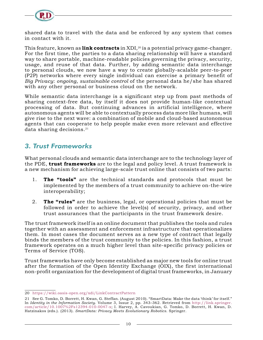

shared data to travel with the data and be enforced by any system that comes in contact with it.

This feature, known as **link contracts** in XDI,<sup>20</sup> is a potential privacy game-changer. For the first time, the parties to a data sharing relationship will have a standard way to share portable, machine-readable policies governing the privacy, security, usage, and reuse of that data. Further, by adding semantic data interchange to personal clouds, we now have a way to create globally-scalable peer-to-peer (P2P) networks where every single individual can exercise a primary benefit of *Big Privacy*: *ongoing, sustainable control* of the personal data he/she has shared with any other personal or business cloud on the network.

While semantic data interchange is a significant step up from past methods of sharing context-free data, by itself it does not provide human-like contextual processing of data. But continuing advances in artificial intelligence, where autonomous agents will be able to contextually process data more like humans, will give rise to the next wave: a combination of mobile and cloud-based autonomous agents that can cooperate to help people make even more relevant and effective data sharing decisions. $21$ 

#### *3. Trust Frameworks*

What personal clouds and semantic data interchange are to the technology layer of the PDE, **trust frameworks** are to the legal and policy level. A trust framework is a new mechanism for achieving large-scale trust online that consists of two parts:

- 1. **The "tools"** are the technical standards and protocols that must be implemented by the members of a trust community to achieve on-the-wire interoperability;
- 2. **The "rules"** are the business, legal, or operational policies that must be followed in order to achieve the level(s) of security, privacy, and other trust assurances that the participants in the trust framework desire.

The trust framework itself is an online document that publishes the tools and rules together with an assessment and enforcement infrastructure that operationalizes them. In most cases the document serves as a new type of contract that legally binds the members of the trust community to the policies. In this fashion, a trust framework operates on a much higher level than site-specific privacy policies or Terms of Service (TOS).

Trust frameworks have only become established as major new tools for online trust after the formation of the Open Identity Exchange (OIX), the first international non-profit organization for the development of digital trust frameworks, in January

<sup>20</sup> <https://wiki.oasis-open.org/xdi/LinkContractPattern>

<sup>21</sup> See G. Tomko, D. Borrett, H. Kwan, G. Steffan. (August 2010). "SmartData: Make the data 'think' for itself." In *Identity in the Information Society*. Volume 3, Issue 2, pp. 343–362. Retrieved from [http://link.springer.](http://link.springer.com/article/10.1007%2Fs12394-010-0047-x) [com/article/10.1007%2Fs12394-010-0047-x](http://link.springer.com/article/10.1007%2Fs12394-010-0047-x); I. Harvey, A. Cavoukian, G. Tomko, D. Borrett, H. Kwan, D. Hatzinakos (eds.). (2013). *SmartData: Privacy Meets Evolutionary Robotics*. Springer.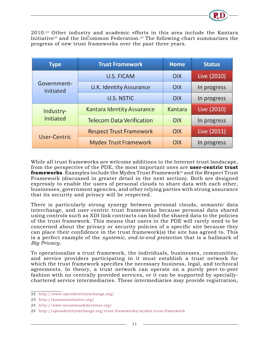

2010.22 Other industry and academic efforts in this area include the Kantara Initiative<sup>23</sup> and the InCommon Federation.<sup>24</sup> The following chart summarizes the progress of new trust frameworks over the past three years.

| <b>Type</b>              | <b>Trust Framework</b>            | <b>Home</b> | <b>Status</b> |
|--------------------------|-----------------------------------|-------------|---------------|
| Government-<br>Initiated | <b>U.S. FICAM</b>                 | <b>OIX</b>  | Live (2010)   |
|                          | U.K. Identity Assurance           | <b>OIX</b>  | In progress   |
|                          | <b>U.S. NSTIC</b>                 | OIX         | In progress   |
| Industry-<br>Initiated   | <b>Kantara Identity Assurance</b> | Kantara     | Live (2010)   |
|                          | <b>Telecom Data Verification</b>  | OIX         | In progress   |
| <b>User-Centric</b>      | <b>Respect Trust Framework</b>    | OIX         | Live (2011)   |
|                          | <b>Mydex Trust Framework</b>      | OIX         | In progress   |

While all trust frameworks are welcome additions to the Internet trust landscape, from the perspective of the PDE, the most important ones are **user-centric trust frameworks**. Examples include the Mydex Trust Framework<sup>25</sup> and the Respect Trust Framework (discussed in greater detail in the next section). Both are designed expressly to enable the users of personal clouds to share data with each other, businesses, government agencies, and other relying parties with strong assurance that its security and privacy will be respected.

There is particularly strong synergy between personal clouds, semantic data interchange, and user-centric trust frameworks because personal data shared using controls such as XDI link contracts can bind the shared data to the policies of the trust framework. This means that users in the PDE will rarely need to be concerned about the privacy or security policies of a specific site because they can place their confidence in the trust framework(s) the site has agreed to. This is a perfect example of the *systemic, end-to-end protection* that is a hallmark of *Big Privacy*.

To operationalize a trust framework, the individuals, businesses, communities, and service providers participating in it must establish a trust network for which the trust framework specifies the necessary business, legal, and technical agreements. In theory, a trust network can operate on a purely peer-to-peer fashion with no centrally provided services, or it can be supported by speciallychartered service intermediaries. These intermediaries may provide registration,

<sup>22</sup> <http://www.openidentityexchange.org/>

<sup>23</sup> <http://kantarainitiative.org/>

<sup>24</sup> <http://www.incommonfederation.org/>

<sup>25</sup> <http://openidentityexchange.org/trust-frameworks/mydex-trust-framework>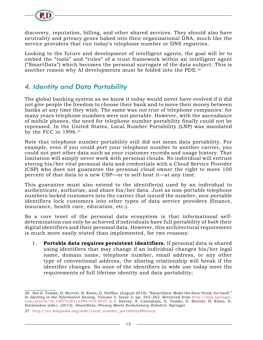

discovery, reputation, billing, and other shared services. They should also have neutrality and privacy genes baked into their organizational DNA, much like the service providers that run today's telephone number or DNS registries.

Looking to the future and development of intelligent agents, the goal will be to embed the "tools" and "rules" of a trust framework within an intelligent agent ("SmartData") which becomes the personal surrogate of the data subject. This is another reason why AI developments must be folded into the PDE.26

#### *4. Identity and Data Portability*

The global banking system as we know it today would never have evolved if it did not give people the freedom to choose their bank and to move their money between banks at any time they wish. The same was *not* true of telephone companies: for many years telephone numbers were not portable. However, with the ascendance of mobile phones, the need for telephone number portability finally could not be repressed. In the United States, Local Number Portability (LNP) was mandated by the FCC in 1996.27

Note that telephone number portability still did not mean data portability. For example, even if you could port your telephone number to another carrier, you could not port other data such as your customer records and usage history. That limitation will simply never work with personal clouds. No individual will entrust storing his/her vital personal data and credentials with a Cloud Service Provider (CSP) who does not guarantee the personal cloud owner the right to move 100 percent of that data to a new CSP—or to self-host it—at any time.

This guarantee must also extend to the identifier(s) used by an individual to authenticate, authorize, and share his/her data. Just as non-portable telephone numbers locked customers into the carrier that issued the number, non-portable identifiers lock customers into other types of data service providers (finance, insurance, health care, education, etc.).

So a core tenet of the personal data ecosystem is that informational selfdetermination can only be achieved if individuals have full portability of *both* their digital identifiers and their personal data. However, this architectural requirement is much more easily stated than implemented, for two reasons:

1. **Portable data requires persistent identifiers.** If personal data is shared using identifiers that may change if an individual changes his/her legal name, domain name, telephone number, email address, or any other type of conventional address, the sharing relationship will break if the identifier changes. So none of the identifiers in wide use today meet the requirements of full lifetime identity and data portability;

<sup>26</sup> See G. Tomko, D. Borrett, H. Kwan, G. Steffan. (August 2010). "SmartData: Make the data 'think' for itself." In *Identity in the Information Society*. Volume 3, Issue 2, pp. 343–362. Retrieved from [http://link.springer.](http://link.springer.com/article/10.1007%2Fs12394-010-0047-x) [com/article/10.1007%2Fs12394-010-0047-x](http://link.springer.com/article/10.1007%2Fs12394-010-0047-x); I. Harvey, A. Cavoukian, G. Tomko, D. Borrett, H. Kwan, D. Hatzinakos (eds.). (2013). *SmartData: Privacy Meets Evolutionary Robotics*. Springer.

<sup>27</sup> [http://en.wikipedia.org/wiki/Local\\_number\\_portability#History](http://en.wikipedia.org/wiki/Local_number_portability#History)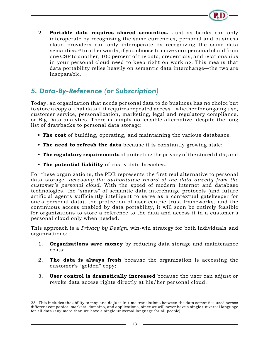

2. **Portable data requires shared semantics.** Just as banks can only interoperate by recognizing the same currencies, personal and business cloud providers can only interoperate by recognizing the same data semantics.28 In other words, if you choose to move your personal cloud from one CSP to another, 100 percent of the data, credentials, and relationships in your personal cloud need to keep right on working. This means that data portability relies heavily on semantic data interchange—the two are inseparable.

#### *5. Data-By-Reference (or Subscription)*

Today, an organization that needs personal data to do business has no choice but to store a copy of that data if it requires repeated access—whether for ongoing use, customer service, personalization, marketing, legal and regulatory compliance, or Big Data analytics. There is simply no feasible alternative, despite the long list of drawbacks to personal data storage:

- **• The cost** of building, operating, and maintaining the various databases;
- **• The need to refresh the data** because it is constantly growing stale;
- **• The regulatory requirements** of protecting the privacy of the stored data; and
- **• The potential liability** of costly data breaches.

For these organizations, the PDE represents the first real alternative to personal data storage: *accessing the authoritative record of the data directly from the customer's personal cloud*. With the speed of modern Internet and database technologies, the "smarts" of semantic data interchange protocols (and future artificial agents sufficiently intelligent to serve as a contextual gatekeeper for one's personal data), the protection of user-centric trust frameworks, and the continuous access enabled by data portability, it will soon be entirely feasible for organizations to store a reference to the data and access it in a customer's personal cloud only when needed.

This approach is a *Privacy by Design,* win-win strategy for both individuals and organizations:

- 1. **Organizations save money** by reducing data storage and maintenance costs;
- 2. **The data is always fresh** because the organization is accessing the customer's "golden" copy;
- 3. **User control is dramatically increased** because the user can adjust or revoke data access rights directly at his/her personal cloud;

<sup>28</sup> This includes the ability to map and do just-in-time translations between the data semantics used across different companies, markets, domains, and applications, since we will never have a single universal language for all data (any more than we have a single universal language for all people).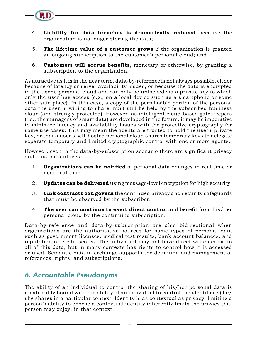

- 5. **The lifetime value of a customer grows** if the organization is granted an ongoing subscription to the customer's personal cloud; and
- 6. **Customers will accrue benefits**, monetary or otherwise, by granting a subscription to the organization.

As attractive as it is in the near term, data-by-reference is not always possible, either because of latency or server availability issues, or because the data is encrypted in the user's personal cloud and can only be unlocked via a private key to which only the user has access (e.g., on a local device such as a smartphone or some other safe place). In this case, a copy of the permissible portion of the personal data the user is willing to share must still be held by the subscribed business cloud (and strongly protected). However, as intelligent cloud-based gate keepers (i.e., the managers of smart data) are developed in the future, it may be imperative to minimize latency and availability issues with the protective cryptography for some use cases. This may mean the agents are trusted to hold the user's private key, or that a user's self-hosted personal cloud shares temporary keys to delegate separate temporary and limited cryptographic control with one or more agents.

However, even in the data-by-subscription scenario there are significant privacy and trust advantages:

- 1. **Organizations can be notified** of personal data changes in real time or near-real time.
- 2. **Updates can be delivered** using message-level encryption for high security.
- 3. **Link contracts can govern** the continued privacy and security safeguards that must be observed by the subscriber.
- 4. **The user can continue to exert direct control** and benefit from his/her personal cloud by the continuing subscription.

Data-by-reference and data-by-subscription are also bidirectional when organizations are the authoritative sources for some types of personal data such as government licenses, medical test results, bank account balances, and reputation or credit scores. The individual may not have direct write access to all of this data, but in many contexts has rights to control how it is accessed or used. Semantic data interchange supports the definition and management of references, rights, and subscriptions.

#### *6. Accountable Pseudonyms*

The ability of an individual to control the sharing of his/her personal data is inextricably bound with the ability of an individual to control the identifier(s) he/ she shares in a particular context. Identity is as contextual as privacy; limiting a person's ability to choose a contextual identity inherently limits the privacy that person may enjoy, in that context.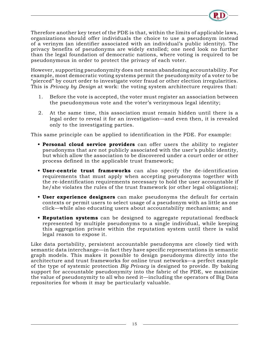

Therefore another key tenet of the PDE is that, within the limits of applicable laws, organizations should offer individuals the choice to use a pseudonym instead of a verinym (an identifier associated with an individual's public identity). The privacy benefits of pseudonyms are widely extolled; one need look no further than the legal foundation of democratic nations, where voting is required to be pseudonymous in order to protect the privacy of each voter.

However, supporting pseudonymity does not mean abandoning accountability. For example, most democratic voting systems permit the pseudonymity of a voter to be "pierced" by court order to investigate voter fraud or other election irregularities. This is *Privacy by Design* at work: the voting system architecture requires that:

- 1. Before the vote is accepted, the voter must register an association between the pseudonymous vote and the voter's verinymous legal identity;
- 2. At the same time, this association must remain hidden until there is a legal order to reveal it for an investigation—and even then, it is revealed only to the investigating parties.

This same principle can be applied to identification in the PDE. For example:

- **• Personal cloud service providers** can offer users the ability to register pseudonyms that are not publicly associated with the user's public identity, but which allow the association to be discovered under a court order or other process defined in the applicable trust framework;
- **• User-centric trust frameworks** can also specify the de-identification requirements that must apply when accepting pseudonyms together with the re-identification requirements necessary to hold the user accountable if he/she violates the rules of the trust framework (or other legal obligations);
- **• User experience designers** can make pseudonyms the default for certain contexts or permit users to select usage of a pseudonym with as little as one click—while also educating users about accountability mechanisms; and
- **• Reputation systems** can be designed to aggregate reputational feedback represented by multiple pseudonyms to a single individual, while keeping this aggregation private within the reputation system until there is valid legal reason to expose it.

Like data portability, persistent accountable pseudonyms are closely tied with semantic data interchange—in fact they have specific representations in semantic graph models. This makes it possible to design pseudonyms directly into the architecture and trust frameworks for online trust networks—a perfect example of the type of systemic protection *Big Privacy* is designed to provide. By baking support for accountable pseudonymity into the fabric of the PDE, we maximize the value of pseudonymity to all who need it—including the operators of Big Data repositories for whom it may be particularly valuable.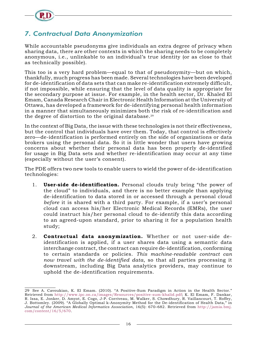

#### *7. Contractual Data Anonymization*

While accountable pseudonyms give individuals an extra degree of privacy when sharing data, there are other contexts in which the sharing needs to be completely anonymous, i.e., unlinkable to an individual's true identity (or as close to that as technically possible).

This too is a very hard problem—equal to that of pseudonymity—but on which, thankfully, much progress has been made. Several technologies have been developed for de-identification of data sets that can make re-identification extremely difficult, if not impossible, while ensuring that the level of data quality is appropriate for the secondary purpose at issue. For example, in the health sector, Dr. Khaled El Emam, Canada Research Chair in Electronic Health Information at the University of Ottawa, has developed a framework for de-identifying personal health information in a manner that simultaneously minimizes both the risk of re-identification and the degree of distortion to the original database.<sup>29</sup>

In the context of Big Data, the issue with these technologies is not their effectiveness, but the control that individuals have over them. Today, that control is effectively zero—de-identification is performed entirely on the side of organizations or data brokers using the personal data. So it is little wonder that users have growing concerns about whether their personal data has been properly de-identified for usage in Big Data sets and whether re-identification may occur at any time (especially without the user's consent).

The PDE offers two new tools to enable users to wield the power of de-identification technologies:

- 1. **User-side de-identification.** Personal clouds truly bring "the power of the cloud" to individuals, and there is no better example than applying de-identification to data stored in or accessed through a personal cloud *before* it is shared with a third party. For example, if a user's personal cloud can access his/her Electronic Medical Records (EMRs), the user could instruct his/her personal cloud to de-identify this data according to an agreed-upon standard, prior to sharing it for a population health study;
- 2. **Contractual data anonymization.** Whether or not user-side deidentification is applied, if a user shares data using a semantic data interchange contract, the contract can require de-identification, conforming to certain standards or policies. *This machine-readable contract can now travel with the de-identified data*, so that all parties processing it downstream, including Big Data analytics providers, may continue to uphold the de-identification requirements.

<sup>29</sup> See A. Cavoukian, K. El Emam. (2010). "A Positive-Sum Paradigm in Action in the Health Sector." Retrieved from [http://www.ipc.on.ca/images/Resources/positive-sum-khalid.pdf;](http://www.ipc.on.ca/images/Resources/positive-sum-khalid.pdf) K. El Emam, F. Dankar, R. Issa, E. Jonker, D. Amyot, E. Cogo, J-P. Corriveau, M. Walker, S. Chowdhury, R. Vaillancourt, T. Roffey, J. Bottomley. (2009). "A Globally Optimal k-Anonymity Method for the De-identification of Health Data," in *Journal of the American Medical Informatics Association*, 16(5): 670–682. Retrieved from [http://jamia.bmj.](http://jamia.bmj.com/content/16/5/670) [com/content/16/5/670.](http://jamia.bmj.com/content/16/5/670)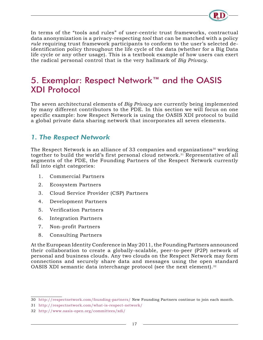

<span id="page-19-0"></span>In terms of the "tools and rules" of user-centric trust frameworks, contractual data anonymization is a privacy-respecting *tool* that can be matched with a policy *rule* requiring trust framework participants to conform to the user's selected deidentification policy throughout the life cycle of the data (whether for a Big Data life cycle or any other usage). This is a textbook example of how users can exert the radical personal control that is the very hallmark of *Big Privacy*.

## 5. Exemplar: Respect Network™ and the OASIS XDI Protocol

The seven architectural elements of *Big Privacy* are currently being implemented by many different contributors to the PDE. In this section we will focus on one specific example: how Respect Network is using the OASIS XDI protocol to build a global private data sharing network that incorporates all seven elements.

#### *1. The Respect Network*

The Respect Network is an alliance of 33 companies and organizations<sup>30</sup> working together to build the world's first personal cloud network.<sup>31</sup> Representative of all segments of the PDE, the Founding Partners of the Respect Network currently fall into eight categories:

- 1. Commercial Partners
- 2. Ecosystem Partners
- 3. Cloud Service Provider (CSP) Partners
- 4. Development Partners
- 5. Verification Partners
- 6. Integration Partners
- 7. Non-profit Partners
- 8. Consulting Partners

At the European Identity Conference in May 2011, the Founding Partners announced their collaboration to create a globally-scalable, peer-to-peer (P2P) network of personal and business clouds. Any two clouds on the Respect Network may form connections and securely share data and messages using the open standard OASIS XDI semantic data interchange protocol (see the next element).<sup>32</sup>

<sup>30</sup> <http://respectnetwork.com/founding-partners/>New Founding Partners continue to join each month.

<sup>31</sup> <http://respectnetwork.com/what-is-respect-network/>

<sup>32</sup> <http://www.oasis-open.org/committees/xdi/>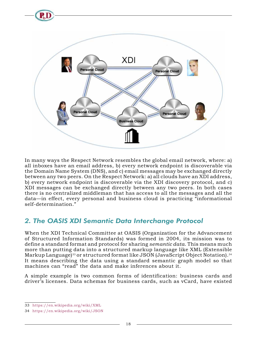

In many ways the Respect Network resembles the global email network, where: a) all inboxes have an email address, b) every network endpoint is discoverable via the Domain Name System (DNS), and c) email messages may be exchanged directly between any two peers. On the Respect Network: a) all clouds have an XDI address, b) every network endpoint is discoverable via the XDI discovery protocol, and c) XDI messages can be exchanged directly between any two peers. In both cases there is no centralized middleman that has access to all the messages and all the data—in effect, every personal and business cloud is practicing "informational self-determination."

### *2. The OASIS XDI Semantic Data Interchange Protocol*

When the XDI Technical Committee at OASIS (Organization for the Advancement of Structured Information Standards) was formed in 2004, its mission was to define a standard format and protocol for sharing *semantic data*. This means much more than putting data into a structured markup language like XML (Extensible Markup Language)<sup>33</sup> or structured format like JSON (JavaScript Object Notation).<sup>34</sup> It means describing the data using a standard semantic graph model so that machines can "read" the data and make inferences about it.

A simple example is two common forms of identification: business cards and driver's licenses. Data schemas for business cards, such as vCard, have existed

<sup>33</sup> <https://en.wikipedia.org/wiki/XML>

<sup>34</sup> <https://en.wikipedia.org/wiki/JSON>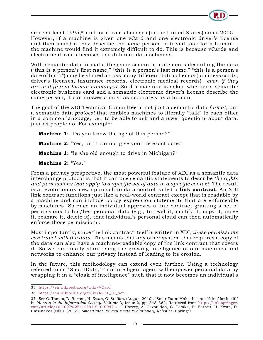

since at least 1995,<sup>35</sup> and for driver's licenses (in the United States) since 2005.<sup>36</sup> However, if a machine is given one vCard and one electronic driver's license and then asked if they describe the same person—a trivial task for a human the machine would find it extremely difficult to do. This is because vCards and electronic driver's licenses use different data schemas.

With semantic data formats, the same semantic statements describing the data ("this is a person's first name," "this is a person's last name," "this is a person's date of birth") may be shared across many different data schemas (business cards, driver's licenses, insurance records, electronic medical records)—*even if they are in different human languages*. So if a machine is asked whether a semantic electronic business card and a semantic electronic driver's license describe the same person, it can answer almost as accurately as a human.

The goal of the XDI Technical Committee is not just a semantic data *format*, but a semantic data *protocol* that enables machines to literally "talk" to each other in a common language, i.e., to be able to ask and answer questions about data, just as people do. For example:

**Machine 1:** "Do you know the age of this person?"

**Machine 2:** "Yes, but I cannot give you the exact date."

**Machine 1:** "Is she old enough to drive in Michigan?"

**Machine 2:** "Yes."

From a privacy perspective, the most powerful feature of XDI as a semantic data interchange protocol is that it can use semantic statements to describe *the rights and permissions that apply to a specific set of data in a specific context*. The result is a revolutionary new approach to data control called a **link contract**. An XDI link contract functions just like a real-world contract except that is readable by a machine and can include policy expression statements that are enforceable by machines. So once an individual approves a link contract granting a set of permissions to his/her personal data (e.g., to read it, modify it, copy it, move it, reshare it, delete it), that individual's personal cloud can then automatically enforce those permissions.

Most importantly, since the link contract itself is written in XDI, *these permissions can travel with the data*. This means that any other system that requires a copy of the data can also have a machine-readable copy of the link contract that covers it. So we can finally start using the growing intelligence of our machines and networks to enhance our privacy instead of leading to its erosion.

In the future, this methodology can extend even further. Using a technology referred to as "SmartData,"37 an intelligent agent will empower personal data by wrapping it in a "cloak of intelligence" such that it now becomes an individual's

<sup>35</sup> <https://en.wikipedia.org/wiki/VCard>

<sup>36</sup> [https://en.wikipedia.org/wiki/REAL\\_ID\\_Act](https://en.wikipedia.org/wiki/REAL_ID_Act)

<sup>37</sup> See G. Tomko, D. Borrett, H. Kwan, G. Steffan. (August 2010). "SmartData: Make the data 'think' for itself." In *Identity in the Information Society*. Volume 3, Issue 2, pp. 343–362. Retrieved from [http://link.springer.](http://link.springer.com/article/10.1007%2Fs12394-010-0047-x) [com/article/10.1007%2Fs12394-010-0047-x;](http://link.springer.com/article/10.1007%2Fs12394-010-0047-x) I. Harvey, A. Cavoukian, G. Tomko, D. Borrett, H. Kwan, D. Hatzinakos (eds.). (2013). *SmartData: Privacy Meets Evolutionary Robotics*. Springer.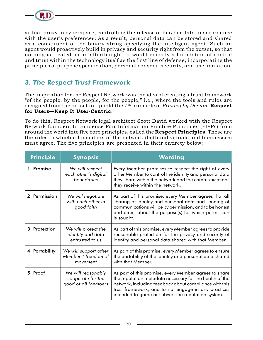

virtual proxy in cyberspace, controlling the release of his/her data in accordance with the user's preferences. As a result, personal data can be stored and shared as a constituent of the binary string specifying the intelligent agent. Such an agent would proactively build in privacy and security right from the outset, so that nothing is treated as an afterthought. It would embody a foundation of control and trust within the technology itself as the first line of defense, incorporating the principles of purpose specification, personal consent, security, and use limitation.

#### *3. The Respect Trust Framework*

The inspiration for the Respect Network was the idea of creating a trust framework "of the people, by the people, for the people," i.e., where the tools and rules are designed from the outset to uphold the 7th principle of *Privacy by Design*: **Respect for Users—Keep It User-Centric**.

To do this, Respect Network legal architect Scott David worked with the Respect Network founders to condense Fair Information Practice Principles (FIPPs) from around the world into five core principles, called the **Respect Principles**. These are the rules to which all members of the network (both individuals and businesses) must agree. The five principles are presented in their entirety below:

| <b>Principle</b> | <b>Synopsis</b>                                                | Wording                                                                                                                                                                                                                                                                                 |
|------------------|----------------------------------------------------------------|-----------------------------------------------------------------------------------------------------------------------------------------------------------------------------------------------------------------------------------------------------------------------------------------|
| 1. Promise       | We will respect<br>each other's digital<br>boundaries          | Every Member promises to respect the right of every<br>other Member to control the identity and personal data<br>they share within the network and the communications<br>they receive within the network.                                                                               |
| 2. Permission    | We will negotiate<br>with each other in<br>good faith          | As part of this promise, every Member agrees that all<br>sharing of identity and personal data and sending of<br>communications will be by permission, and to be honest<br>and direct about the purpose(s) for which permission<br>is sought.                                           |
| 3. Protection    | We will protect the<br>identity and data<br>entrusted to us    | As part of this promise, every Member agrees to provide<br>reasonable protection for the privacy and security of<br>identity and personal data shared with that Member.                                                                                                                 |
| 4. Portability   | We will support other<br>Members' freedom of<br>movement       | As part of this promise, every Member agrees to ensure<br>the portability of the identity and personal data shared<br>with that Member.                                                                                                                                                 |
| 5. Proof         | We will reasonably<br>cooperate for the<br>good of all Members | As part of this promise, every Member agrees to share<br>the reputation metadata necessary for the health of the<br>network, including feedback about compliance with this<br>trust framework, and to not engage in any practices<br>intended to game or subvert the reputation system. |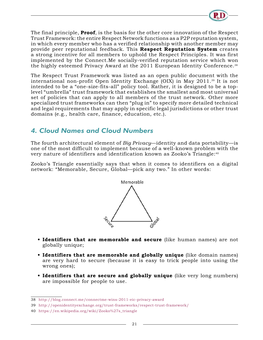

The final principle, **Proof**, is the basis for the other core innovation of the Respect Trust Framework: the entire Respect Network functions as a P2P reputation system, in which every member who has a verified relationship with another member may provide peer reputational feedback. This **Respect Reputation System** creates a strong incentive for all members to uphold the Respect Principles. It was first implemented by the Connect.Me socially-verified reputation service which won the highly esteemed Privacy Award at the 2011 European Identity Conference.38

The Respect Trust Framework was listed as an open public document with the international non-profit Open Identity Exchange (OIX) in May 2011.39 It is not intended to be a "one-size-fits-all" policy tool. Rather, it is designed to be a toplevel "umbrella" trust framework that establishes the smallest and most universal set of policies that can apply to all members of the trust network. Other more specialized trust frameworks can then "plug in" to specify more detailed technical and legal requirements that may apply in specific legal jurisdictions or other trust domains (e.g., health care, finance, education, etc.).

#### *4. Cloud Names and Cloud Numbers*

The fourth architectural element of *Big Privacy*—identity and data portability—is one of the most difficult to implement because of a well-known problem with the very nature of identifiers and identification known as Zooko's Triangle:40

Zooko's Triangle essentially says that when it comes to identifiers on a digital network: "Memorable, Secure, Global—pick any two." In other words:



- **• Identifiers that are memorable and secure** (like human names) are not globally unique;
- **• Identifiers that are memorable and globally unique** (like domain names) are very hard to secure (because it is easy to trick people into using the wrong ones);
- **• Identifiers that are secure and globally unique** (like very long numbers) are impossible for people to use.

<sup>38</sup> <http://blog.connect.me/connectme-wins-2011-eic-privacy-award>

<sup>39</sup> <http://openidentityexchange.org/trust-frameworks/respect-trust-framework/>

<sup>40</sup> [https://en.wikipedia.org/wiki/Zooko%27s\\_triangle](https://en.wikipedia.org/wiki/Zooko%27s_triangle)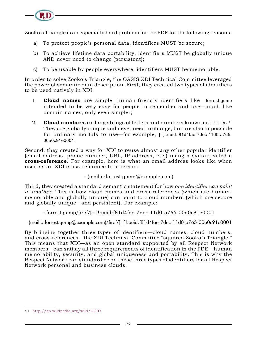Zooko's Triangle is an especially hard problem for the PDE for the following reasons:

- a) To protect people's personal data, identifiers MUST be secure;
- b) To achieve lifetime data portability, identifiers MUST be globally unique AND never need to change (persistent);
- c) To be usable by people everywhere, identifiers MUST be memorable.

In order to solve Zooko's Triangle, the OASIS XDI Technical Committee leveraged the power of semantic data description. First, they created two types of identifiers to be used natively in XDI:

- 1. **Cloud names** are simple, human-friendly identifiers like =forrest.gump intended to be very easy for people to remember and use—much like domain names, only even simpler;
- 2. **Cloud numbers** are long strings of letters and numbers known as UUIDs.<sup>41</sup> They are globally unique and never need to change, but are also impossible for ordinary mortals to use—for example, [=]!:uuid:f81d4fae-7dec-11d0-a765- 00a0c91e0001.

Second, they created a way for XDI to reuse almost any other popular identifier (email address, phone number, URL, IP address, etc.) using a syntax called a **cross-reference**. For example, here is what an email address looks like when used as an XDI cross-reference to a person:

=(mailto:forrest.gump@example.com)

Third, they created a standard semantic statement for how *one identifier can point to another*. This is how cloud names and cross-references (which are humanmemorable and globally unique) can point to cloud numbers (which are secure and globally unique—and persistent). For example:

=forrest.gump/\$ref/[=]!:uuid:f81d4fae-7dec-11d0-a765-00a0c91e0001

=(mailto:forrest.gump@example.com)/\$ref/[=]!:uuid:f81d4fae-7dec-11d0-a765-00a0c91e0001

By bringing together three types of identifiers—cloud names, cloud numbers, and cross-references—the XDI Technical Committee "squared Zooko's Triangle." This means that XDI—as an open standard supported by all Respect Network members—can satisfy all three requirements of identification in the PDE—human memorability, security, and global uniqueness and portability. This is why the Respect Network can standardize on these three types of identifiers for all Respect Network personal and business clouds.

<sup>41</sup> <http://en.wikipedia.org/wiki/UUID>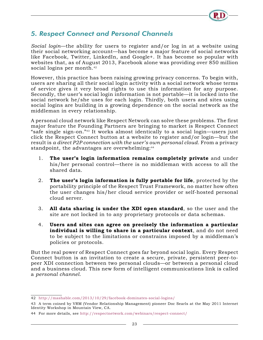

#### *5. Respect Connect and Personal Channels*

*Social login*—the ability for users to register and/or log in at a website using their social networking account—has become a major feature of social networks like Facebook, Twitter, LinkedIn, and Google+. It has become so popular with websites that, as of August 2013, Facebook alone was providing over 850 million social logins per month.<sup>42</sup>

However, this practice has been raising growing privacy concerns. To begin with, users are sharing all their social login activity with a social network whose terms of service gives it very broad rights to use this information for any purpose. Secondly, the user's social login information is not portable—it is locked into the social network he/she uses for each login. Thirdly, both users and sites using social logins are building in a growing dependence on the social network as the middleman in every relationship.

A personal cloud network like Respect Network can solve these problems. The first major feature the Founding Partners are bringing to market is Respect Connect "safe single sign-on."43 It works almost identically to a social login—users just click the Respect Connect button at a website to register and/or login—but the result is *a direct P2P connection with the user's own personal cloud*. From a privacy standpoint, the advantages are overwhelming:<sup>44</sup>

- 1. **The user's login information remains completely private** and under his/her personal control—there is no middleman with access to all the shared data.
- 2. **The user's login information is fully portable for life**, protected by the portability principle of the Respect Trust Framework, no matter how often the user changes his/her cloud service provider or self-hosted personal cloud server.
- 3. **All data sharing is under the XDI open standard**, so the user and the site are not locked in to any proprietary protocols or data schemas.
- 4. **Users and sites can agree on precisely the information a particular individual is willing to share in a particular context**, and do not need to be subject to the limitations or constrains imposed by a middleman's policies or protocols.

But the real power of Respect Connect goes far beyond social login. Every Respect Connect button is an invitation to create a secure, private, persistent peer-topeer XDI connection between two personal clouds—or between a personal cloud and a business cloud. This new form of intelligent communications link is called a *personal channel*.

<sup>42</sup> <http://mashable.com/2013/10/29/facebook-dominates-social-logins/>

<sup>43</sup> A term coined by VRM (Vendor Relationship Management) pioneer Doc Searls at the May 2011 Internet Identity Workshop in Mountain View, CA.

<sup>44</sup> For more details, see <http://respectnetwork.com/webinars/respect-connect/>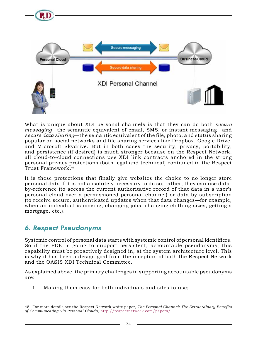

What is unique about XDI personal channels is that they can do both *secure messaging*—the semantic equivalent of email, SMS, or instant messaging—and *secure data sharing*—the semantic equivalent of the file, photo, and status sharing popular on social networks and file sharing services like Dropbox, Google Drive, and Microsoft Skydrive. But in both cases the security, privacy, portability, and persistence (if desired) is much stronger because on the Respect Network, all cloud-to-cloud connections use XDI link contracts anchored in the strong personal privacy protections (both legal and technical) contained in the Respect Trust Framework.45

It is these protections that finally give websites the choice to no longer store personal data if it is not absolutely necessary to do so; rather, they can use databy-reference (to access the current authoritative record of that data in a user's personal cloud over a permissioned personal channel) or data-by-subscription (to receive secure, authenticated updates when that data changes—for example, when an individual is moving, changing jobs, changing clothing sizes, getting a mortgage, etc.).

#### *6. Respect Pseudonyms*

Systemic control of personal data starts with systemic control of personal identifiers. So if the PDE is going to support persistent, accountable pseudonyms, this capability must be proactively designed in, at the system architecture level. This is why it has been a design goal from the inception of both the Respect Network and the OASIS XDI Technical Committee.

As explained above, the primary challenges in supporting accountable pseudonyms are:

1. Making them easy for both individuals and sites to use;

<sup>45</sup> For more details see the Respect Network white paper, *The Personal Channel: The Extraordinary Benefits of Communicating Via Personal Clouds*, <http://respectnetwork.com/papers/>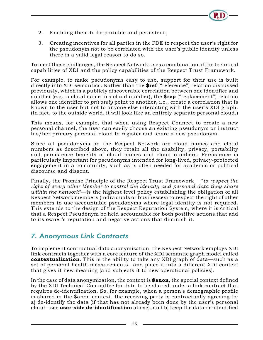

- 2. Enabling them to be portable and persistent;
- 3. Creating incentives for all parties in the PDE to respect the user's right for the pseudonym not to be correlated with the user's public identity unless there is a valid legal reason to do so.

To meet these challenges, the Respect Network uses a combination of the technical capabilities of XDI and the policy capabilities of the Respect Trust Framework.

For example, to make pseudonyms easy to use, support for their use is built directly into XDI semantics. Rather than the **\$ref** ("reference") relation discussed previously, which is a publicly discoverable correlation between one identifier and another (e.g., a cloud name to a cloud number), the **\$rep** ("replacement") relation allows one identifier to *privately* point to another, i.e., create a correlation that is known to the user but not to anyone else interacting with the user's XDI graph. (In fact, to the outside world, it will look like an entirely separate personal cloud.)

This means, for example, that when using Respect Connect to create a new personal channel, the user can easily choose an existing pseudonym or instruct his/her primary personal cloud to register and share a new pseudonym.

Since all pseudonyms on the Respect Network are cloud names and cloud numbers as described above, they retain all the usability, privacy, portability and persistence benefits of cloud names and cloud numbers. Persistence is particularly important for pseudonyms intended for long-lived, privacy-protected engagement in a community, such as is often needed for academic or political discourse and dissent.

Finally, the Promise Principle of the Respect Trust Framework —"*to respect the right of every other Member to control the identity and personal data they share within the network*"—is the highest level policy establishing the obligation of all Respect Network members (individuals or businesses) to respect the right of other members to use accountable pseudonyms where legal identity is not required. This extends to the design of the Respect Reputation System, where it is critical that a Respect Pseudonym be held accountable for both positive actions that add to its owner's reputation and negative actions that diminish it.

#### *7. Anonymous Link Contracts*

To implement contractual data anonymization, the Respect Network employs XDI link contracts together with a core feature of the XDI semantic graph model called **contextualization**. This is the ability to take any XDI graph of data—such as a set of personal health measurements—and place it into a different XDI context that gives it new meaning (and subjects it to new operational policies).

In the case of data anonymization, the context is **\$anon**, the special context defined by the XDI Technical Committee for data to be shared under a link contract that requires de-identification. So, for example, when a person's demographic profile is shared in the \$anon context, the receiving party is contractually agreeing to: a) de-identify the data (if that has not already been done by the user's personal cloud—see **user-side de-identification** above), and b) keep the data de-identified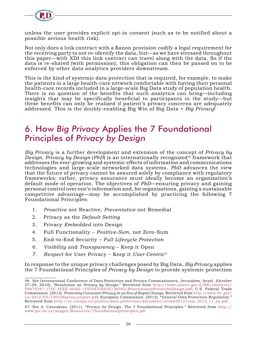<span id="page-28-0"></span>

unless the user provides explicit opt-in consent (such as to be notified about a possible serious health risk).

Not only does a link contract with a \$anon provision codify a legal requirement for the receiving party to not re-identify the data, but—as we have stressed throughout this paper—with XDI this link contract can travel along with the data. So if the data is re-shared (with permission), this obligation can then be passed on to be enforced by other data analytics providers downstream.

This is the kind of systemic data protection that is required, for example, to make the patients in a large health-care network comfortable with having their personal health-care records included in a large-scale Big Data study of population health. There is no question of the benefits that such analytics can bring—including insights that may be specifically beneficial to participants in the study—but these benefits can only be realized if patient's privacy concerns are adequately addressed. This is the doubly-enabling Big Win of Big Data + *Big Privacy*!

## 6. How *Big Privacy* Applies the 7 Foundational Principles of *Privacy by Design*

*Big Privacy* is a further development and extension of the concept of *Privacy by Design. Privacy by Design (PbD)* is an internationally recognized<sup>46</sup> framework that addresses the ever-growing and systemic effects of information and communications technologies and large-scale networked data systems. *PbD* advances the view that the future of privacy cannot be assured solely by compliance with regulatory frameworks; rather, privacy assurance must ideally become an organization's default mode of operation. The objectives of *PbD*—ensuring privacy and gaining personal control over one's information and, for organizations, gaining a sustainable competitive advantage—may be accomplished by practicing the following 7 Foundational Principles:

- 1. *Proactive* not Reactive; *Preventative* not Remedial
- 2. Privacy as the *Default Setting*
- 3. Privacy *Embedded* into Design
- 4. Full Functionality *Positive-Sum*, not Zero-Sum
- 5. End-to-End Security *Full Lifecycle Protection*
- *6. Visibility* and *Transparency* Keep it Open
- *7. Respect* for User Privacy Keep it *User-Centric*<sup>47</sup>

In response to the unique privacy challenges posed by Big Data, *Big Privacy* applies the 7 Foundational Principles of *Privacy by Design* to provide systemic protection

<sup>46</sup> See International Conference of Data Protection and Privacy Commissioners, Jerusalem, Israel. (October 27–29, 2010), "Resolution on *Privacy by Design*." Retrieved from [http://www.justice.gov.il/NR/rdonlyres/](http://www.justice.gov.il/NR/rdonlyres/F8A79347-170C-4EEF-A0AD-155554558A5F/26502/ResolutiononPrivacybyDesign.pdf) [F8A79347-170C-4EEF-A0AD-155554558A5F/26502/ResolutiononPrivacybyDesign.pdf](http://www.justice.gov.il/NR/rdonlyres/F8A79347-170C-4EEF-A0AD-155554558A5F/26502/ResolutiononPrivacybyDesign.pdf); U.S. Federal Trade Commission. (2012). *Protecting Consumer Privacy in an Era of Rapid Change*. Retrieved from [http://www.ftc.gov/](http://www.ftc.gov/os/2012/03/120326privacyreport.pdf) [os/2012/03/120326privacyreport.pdf;](http://www.ftc.gov/os/2012/03/120326privacyreport.pdf) European Commission. (2012). "General Data Protection Regulation." Retrieved from [http://ec.europa.eu/justice/data-protection/document/review2012/com\\_2012\\_11\\_en.pdf](http://ec.europa.eu/justice/data-protection/document/review2012/com_2012_11_en.pdf).

<sup>47</sup> See A. Cavoukian. (2011). "Privacy by Design. The 7 Foundational Principles." Retrieved from [http://](http://www.ipc.on.ca/images/Resources/7foundationalprinciples.pdf) [www.ipc.on.ca/images/Resources/7foundationalprinciples.pdf](http://www.ipc.on.ca/images/Resources/7foundationalprinciples.pdf)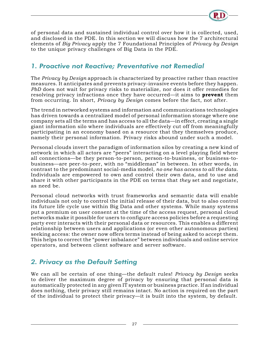

of personal data and sustained individual control over how it is collected, used, and disclosed in the PDE. In this section we will discuss how the 7 architectural elements of *Big Privacy* apply the 7 Foundational Principles of *Privacy by Design* to the unique privacy challenges of Big Data in the PDE.

#### *1. Proactive not Reactive; Preventative not Remedial*

The *Privacy by Design* approach is characterized by proactive rather than reactive measures. It anticipates and prevents privacy-invasive events before they happen. *PbD* does not wait for privacy risks to materialize, nor does it offer remedies for resolving privacy infractions once they have occurred—it aims to **prevent** them from occurring. In short, *Privacy by Design* comes before the fact, not after.

The trend in networked systems and information and communications technologies has driven towards a centralized model of personal information storage where one company sets all the terms and has access to all the data—in effect, creating a single giant information silo where individuals are effectively cut off from meaningfully participating in an economy based on a resource that they themselves produce, namely their personal information. Privacy risks abound under such a model.

Personal clouds invert the paradigm of information silos by creating a new kind of network in which all actors are "peers" interacting on a level playing field where all connections—be they person-to-person, person-to-business, or business-tobusiness—are peer-to-peer, with no "middleman" in between. In other words, in contrast to the predominant social-media model, *no one has access to all the data*. Individuals are empowered to own and control their own data, and to use and share it with other participants in the PDE on terms that *they* set and negotiate, as need be.

Personal cloud networks with trust frameworks and semantic data will enable individuals not only to control the initial release of their data, but to also control its future life cycle use within Big Data and other systems. While many systems put a premium on user consent at the time of the access request, personal cloud networks make it possible for users to configure access policies before a requesting party ever interacts with their personal data or resources. This enables a different relationship between users and applications (or even other autonomous parties) seeking access: the owner now offers terms instead of being asked to accept them. This helps to correct the "power imbalance" between individuals and online service operators, and between client software and server software.

#### *2. Privacy as the Default Setting*

We can all be certain of one thing—the default rules! *Privacy by Design* seeks to deliver the maximum degree of privacy by ensuring that personal data is automatically protected in any given IT system or business practice. If an individual does nothing, their privacy still remains intact. No action is required on the part of the individual to protect their privacy—it is built into the system, by default.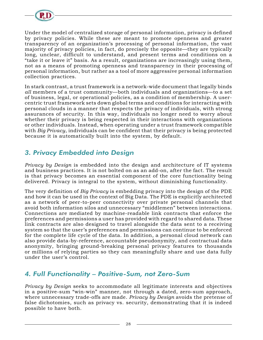

Under the model of centralized storage of personal information, privacy is defined by privacy policies. While these are meant to promote openness and greater transparency of an organization's processing of personal information, the vast majority of privacy policies, in fact, do precisely the opposite—they are typically long, unclear, difficult to understand, and present terms and conditions on a "take it or leave it" basis. As a result, organizations are increasingly using them, not as a means of promoting openness and transparency in their processing of personal information, but rather as a tool of more aggressive personal information collection practices.

In stark contrast, a trust framework is a network-wide document that legally binds *all* members of a trust community—both individuals and organizations—to a set of business, legal, or operational policies, as a condition of membership. A usercentric trust framework sets down global terms and conditions for interacting with personal clouds in a manner that respects the privacy of individuals, with strong assurances of security. In this way, individuals no longer need to worry about whether their privacy is being respected in their interactions with organizations or other individuals. Instead, when operating under a trust framework compatible with *Big Privacy*, individuals can be confident that their privacy is being protected because it is automatically built into the system, by default.

#### *3. Privacy Embedded into Design*

*Privacy by Design* is embedded into the design and architecture of IT systems and business practices. It is not bolted on as an add-on, after the fact. The result is that privacy becomes an essential component of the core functionality being delivered. Privacy is integral to the system, without diminishing functionality.

The very definition of *Big Privacy* is embedding privacy into the design of the PDE and how it can be used in the context of Big Data. The PDE is explicitly architected as a network of peer-to-peer connectivity over private personal channels that avoid both information silos and unnecessary "middlemen" between interactions. Connections are mediated by machine-readable link contracts that enforce the preferences and permissions a user has provided with regard to shared data. These link contracts are also designed to travel alongside the data sent to a receiving system so that the user's preferences and permissions can continue to be enforced for the complete life cycle of the data. In addition, a personal cloud network can also provide data-by-reference, accountable pseudonymity, and contractual data anonymity, bringing ground-breaking personal privacy features to thousands or millions of relying parties so they can meaningfully share and use data fully under the user's control.

#### *4. Full Functionality – Positive-Sum, not Zero-Sum*

*Privacy by Design* seeks to accommodate all legitimate interests and objectives in a positive-sum "win-win" manner, not through a dated, zero-sum approach, where unnecessary trade-offs are made. *Privacy by Design* avoids the pretense of false dichotomies, such as privacy vs. security, demonstrating that it is indeed possible to have both.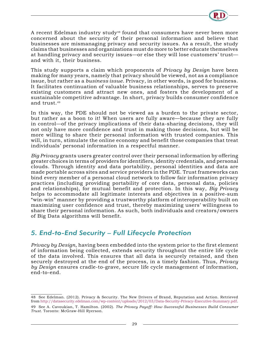

A recent Edelman industry study<sup>48</sup> found that consumers have never been more concerned about the security of their personal information and believe that businesses are mismanaging privacy and security issues. As a result, the study claims that businesses and organizations must do more to better educate themselves at handling privacy and security issues—or else they will lose customers' trust and with it, their business.

This study supports a claim which proponents of *Privacy by Design* have been making for many years, namely that privacy should be viewed, not as a compliance issue, but rather as a *business issue*. Privacy, in other words, is good for business. It facilitates continuation of valuable business relationships, serves to preserve existing customers and attract new ones, and fosters the development of a sustainable competitive advantage. In short, privacy builds consumer confidence and trust.49

In this way, the PDE should not be viewed as a burden to the private sector, but rather as a boon to it! When users are fully aware—because they are fully in control—of the privacy implications of their data-sharing decisions, they will not only have more confidence and trust in making those decisions, but will be more willing to share their personal information with trusted companies. This will, in turn, stimulate the online economy and benefit those companies that treat individuals' personal information in a respectful manner.

*Big Privacy* grants users greater control over their personal information by offering greater choices in terms of providers for identifiers, identity credentials, and personal clouds. Through identity and data portability, personal identities and data are made portable across sites and service providers in the PDE. Trust frameworks can bind every member of a personal cloud network to follow fair information privacy practices (including providing portability of core data, personal data, policies and relationships), for mutual benefit and protection. In this way, *Big Privacy* helps to accommodate all legitimate interests and objectives in a positive-sum "win-win" manner by providing a trustworthy platform of interoperability built on maximizing user confidence and trust, thereby maximizing users' willingness to share their personal information. As such, both individuals and creators/owners of Big Data algorithms will benefit.

#### *5. End-to-End Security – Full Lifecycle Protection*

*Privacy by Design*, having been embedded into the system prior to the first element of information being collected, extends security throughout the entire life cycle of the data involved. This ensures that all data is securely retained, and then securely destroyed at the end of the process, in a timely fashion. Thus, *Privacy by Design* ensures cradle-to-grave, secure life cycle management of information, end-to-end.

<sup>48</sup> See Edelman. (2012). Privacy & Security. The New Drivers of Brand, Reputation and Action. Retrieved from [http://datasecurity.edelman.com/wp-content/uploads/2012/03/Data-Security-Privacy-Executive-Summary.pdf.](http://datasecurity.edelman.com/wp-content/uploads/2012/03/Data-Security-Privacy-Executive-Summary.pdf)

<sup>49</sup> See A. Cavoukian, T. Hamilton. (2002). *The Privacy Payoff: How Successful Businesses Build Consumer Trust*. Toronto: McGraw-Hill Ryerson.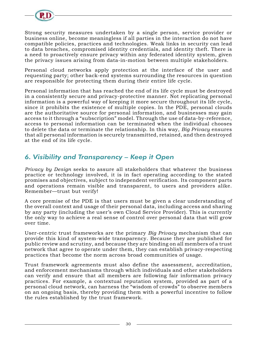

Strong security measures undertaken by a single person, service provider or business online, become meaningless if all parties in the interaction do not have compatible policies, practices and technologies. Weak links in security can lead to data breaches, compromised identity credentials, and identity theft. There is a need to proactively ensure privacy within any federated identity system, given the privacy issues arising from data-in-motion between multiple stakeholders.

Personal cloud networks apply protection at the interface of the user and requesting party; other back-end systems surrounding the resources in question are responsible for protecting them during their entire life cycle.

Personal information that has reached the end of its life cycle must be destroyed in a consistently secure and privacy-protective manner. Not replicating personal information is a powerful way of keeping it more secure throughout its life cycle, since it prohibits the existence of multiple copies. In the PDE, personal clouds are the authoritative source for personal information, and businesses may gain access to it through a "subscription" model. Through the use of data-by-reference, access to personal information can be terminated when the individual chooses to delete the data or terminate the relationship. In this way, *Big Privacy* ensures that all personal information is securely transmitted, retained, and then destroyed at the end of its life cycle.

#### *6. Visibility and Transparency – Keep it Open*

*Privacy by Design* seeks to assure all stakeholders that whatever the business practice or technology involved, it is in fact operating according to the stated promises and objectives, subject to independent verification. Its component parts and operations remain visible and transparent, to users and providers alike. Remember—trust but verify!

A core premise of the PDE is that users must be given a clear understanding of the overall context and usage of their personal data, including access and sharing by any party (including the user's own Cloud Service Provider). This is currently the only way to achieve a real sense of control over personal data that will grow over time.

User-centric trust frameworks are the primary *Big Privacy* mechanism that can provide this kind of system-wide transparency. Because they are published for public review and scrutiny, and because they are binding on all members of a trust network that agree to operate under them, they can establish privacy-respecting practices that become the norm across broad communities of usage.

Trust framework agreements must also define the assessment, accreditation, and enforcement mechanisms through which individuals and other stakeholders can verify and ensure that all members are following fair information privacy practices. For example, a contextual reputation system, provided as part of a personal cloud network, can harness the "wisdom of crowds" to observe members on an ongoing basis, thereby providing them with a powerful incentive to follow the rules established by the trust framework.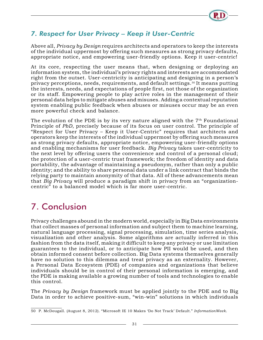

#### <span id="page-33-0"></span>*7. Respect for User Privacy – Keep it User-Centric*

Above all, *Privacy by Design* requires architects and operators to keep the interests of the individual uppermost by offering such measures as strong privacy defaults, appropriate notice, and empowering user-friendly options. Keep it user-centric!

At its core, respecting the user means that, when designing or deploying an information system, the individual's privacy rights and interests are accommodated right from the outset. User-centricity is anticipating and designing in a person's privacy perceptions, needs, requirements, and default settings.50 It means putting the interests, needs, and expectations of people first, not those of the organization or its staff. Empowering people to play active roles in the management of their personal data helps to mitigate abuses and misuses. Adding a contextual reputation system enabling public feedback when abuses or misuses occur may be an even more powerful check and balance.

The evolution of the PDE is by its very nature aligned with the  $7<sup>th</sup>$  Foundational Principle of *PbD*, precisely because of its focus on user control. The principle of "Respect for User Privacy – Keep it User-Centric" requires that architects and operators keep the interests of the individual uppermost by offering such measures as strong privacy defaults, appropriate notice, empowering user-friendly options and enabling mechanisms for user feedback. *Big Privacy* takes user-centricity to the next level by offering users the convenience and control of a personal cloud; the protection of a user-centric trust framework; the freedom of identity and data portability, the advantage of maintaining a pseudonym, rather than only a public identity; and the ability to share personal data under a link contract that binds the relying party to maintain anonymity of that data. All of these advancements mean that *Big Privacy* will produce a paradigm shift in privacy from an "organizationcentric" to a balanced model which is far more user-centric.

# 7. Conclusion

Privacy challenges abound in the modern world, especially in Big Data environments that collect masses of personal information and subject them to machine learning, natural language processing, signal processing, simulation, time series analysis, visualization and other analysis. Some algorithms are actually inferred in this fashion from the data itself, making it difficult to keep any privacy or use limitation guarantees to the individual, or to anticipate how PII would be used, and then obtain informed consent before collection. Big Data systems themselves generally have no solution to this dilemma and treat privacy as an externality. However, a Personal Data Ecosystem (PDE) of companies and organizations that believe individuals should be in control of their personal information is emerging, and the PDE is making available a growing number of tools and technologies to enable this control.

The *Privacy by Design* framework must be applied jointly to the PDE and to Big Data in order to achieve positive-sum, "win-win" solutions in which individuals

<sup>50</sup> P. McDougall. (August 8, 2012). "Microsoft IE 10 Makes 'Do Not Track' Default." *InformationWeek*.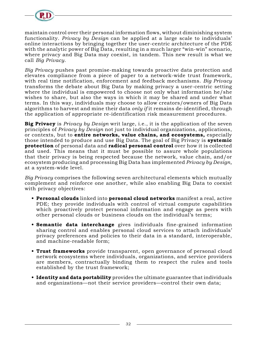

maintain control over their personal information flows, without diminishing system functionality. *Privacy by Design* can be applied at a large scale to individuals' online interactions by bringing together the user-centric architecture of the PDE with the analytic power of Big Data, resulting in a much larger "win-win" scenario, where privacy and Big Data may coexist, in tandem. This new result is what we call *Big Privacy*.

*Big Privacy* pushes past promise-making towards proactive data protection and elevates compliance from a piece of paper to a network-wide trust framework, with real time notification, enforcement and feedback mechanisms. *Big Privacy* transforms the debate about Big Data by making privacy a user-centric setting where the individual is empowered to choose not only what information he/she wishes to share, but also the ways in which it may be shared and under what terms. In this way, individuals may choose to allow creators/owners of Big Data algorithms to harvest and mine their data *only if* it remains de-identified, through the application of appropriate re-identification risk measurement procedures.

**Big Privacy** is *Privacy by Design* writ large, i.e., it is the application of the seven principles of *Privacy by Design* not just to individual organizations, applications, or contexts, but to **entire networks, value chains, and ecosystems,** especially those intended to produce and use Big Data. The goal of Big Privacy is **systemic protection** of personal data and **radical personal control** over how it is collected and used. This means that it must be possible to assure whole populations that their privacy is being respected because the network, value chain, and/or ecosystem producing and processing Big Data has implemented *Privacy by Design,* at a system-wide level.

*Big Privacy* comprises the following seven architectural elements which mutually complement and reinforce one another, while also enabling Big Data to coexist with privacy objectives:

- **• Personal clouds** linked into **personal cloud networks** manifest a real, active PDE; they provide individuals with control of virtual compute capabilities which proactively protect personal information and engage as peers with other personal clouds or business clouds on the individual's terms;
- **• Semantic data interchange** gives individuals fine-grained information sharing control and enables personal cloud services to attach individuals' privacy preferences and policies to their data in a standard, interoperable, and machine-readable form;
- **• Trust frameworks** provide transparent, open governance of personal cloud network ecosystems where individuals, organizations, and service providers are members, contractually binding them to respect the rules and tools established by the trust framework;
- **• Identity and data portability** provides the ultimate guarantee that individuals and organizations—not their service providers—control their own data;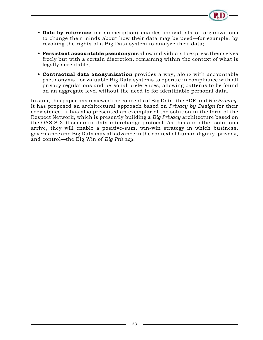- 
- **• Data-by-reference** (or subscription) enables individuals or organizations to change their minds about how their data may be used—for example, by revoking the rights of a Big Data system to analyze their data;
- **• Persistent accountable pseudonyms** allow individuals to express themselves freely but with a certain discretion, remaining within the context of what is legally acceptable;
- **• Contractual data anonymization** provides a way, along with accountable pseudonyms, for valuable Big Data systems to operate in compliance with all privacy regulations and personal preferences, allowing patterns to be found on an aggregate level without the need to for identifiable personal data.

In sum, this paper has reviewed the concepts of Big Data, the PDE and *Big Privacy*. It has proposed an architectural approach based on *Privacy by Design* for their coexistence. It has also presented an exemplar of the solution in the form of the Respect Network, which is presently building a *Big Privacy* architecture based on the OASIS XDI semantic data interchange protocol. As this and other solutions arrive, they will enable a positive-sum, win-win strategy in which business, governance and Big Data may all advance in the context of human dignity, privacy, and control—the Big Win of *Big Privacy*.